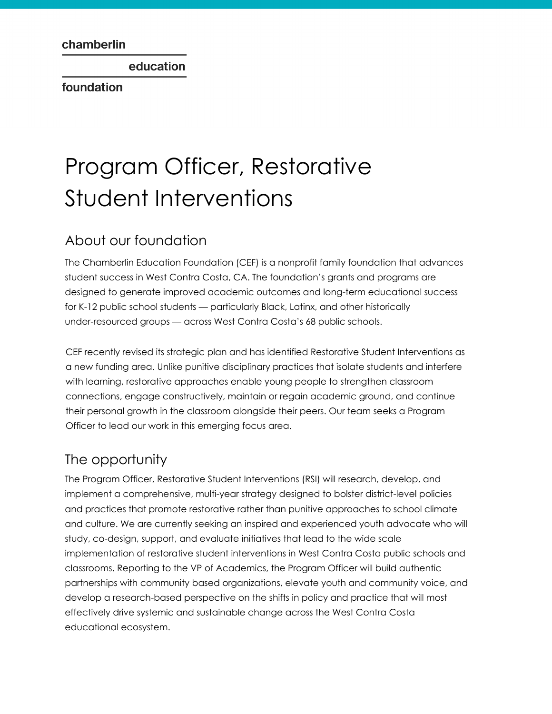education

foundation

# Program Officer, Restorative Student Interventions

#### About our foundation

The Chamberlin Education Foundation (CEF) is a nonprofit family foundation that advances student success in West Contra Costa, CA. The foundation's grants and programs are designed to generate improved academic outcomes and long-term educational success for K-12 public school students — particularly Black, Latinx, and other historically under-resourced groups — across West Contra Costa's 68 public schools.

CEF recently revised its strategic plan and has identified Restorative Student Interventions as a new funding area. Unlike punitive disciplinary practices that isolate students and interfere with learning, restorative approaches enable young people to strengthen classroom connections, engage constructively, maintain or regain academic ground, and continue their personal growth in the classroom alongside their peers. Our team seeks a Program Officer to lead our work in this emerging focus area.

## The opportunity

The Program Officer, Restorative Student Interventions (RSI) will research, develop, and implement a comprehensive, multi-year strategy designed to bolster district-level policies and practices that promote restorative rather than punitive approaches to school climate and culture. We are currently seeking an inspired and experienced youth advocate who will study, co-design, support, and evaluate initiatives that lead to the wide scale implementation of restorative student interventions in West Contra Costa public schools and classrooms. Reporting to the VP of Academics, the Program Officer will build authentic partnerships with community based organizations, elevate youth and community voice, and develop a research-based perspective on the shifts in policy and practice that will most effectively drive systemic and sustainable change across the West Contra Costa educational ecosystem.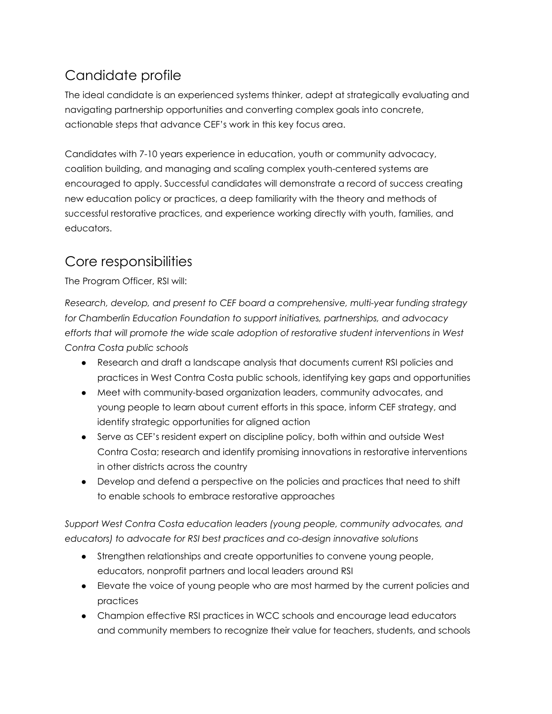## Candidate profile

The ideal candidate is an experienced systems thinker, adept at strategically evaluating and navigating partnership opportunities and converting complex goals into concrete, actionable steps that advance CEF's work in this key focus area.

Candidates with 7-10 years experience in education, youth or community advocacy, coalition building, and managing and scaling complex youth-centered systems are encouraged to apply. Successful candidates will demonstrate a record of success creating new education policy or practices, a deep familiarity with the theory and methods of successful restorative practices, and experience working directly with youth, families, and educators.

#### Core responsibilities

The Program Officer, RSI will:

*Research, develop, and present to CEF board a comprehensive, multi-year funding strategy for Chamberlin Education Foundation to support initiatives, partnerships, and advocacy efforts that will promote the wide scale adoption of restorative student interventions in West Contra Costa public schools*

- Research and draft a landscape analysis that documents current RSI policies and practices in West Contra Costa public schools, identifying key gaps and opportunities
- Meet with community-based organization leaders, community advocates, and young people to learn about current efforts in this space, inform CEF strategy, and identify strategic opportunities for aligned action
- Serve as CEF's resident expert on discipline policy, both within and outside West Contra Costa; research and identify promising innovations in restorative interventions in other districts across the country
- Develop and defend a perspective on the policies and practices that need to shift to enable schools to embrace restorative approaches

*Support West Contra Costa education leaders (young people, community advocates, and educators) to advocate for RSI best practices and co-design innovative solutions*

- Strengthen relationships and create opportunities to convene young people, educators, nonprofit partners and local leaders around RSI
- Elevate the voice of young people who are most harmed by the current policies and practices
- Champion effective RSI practices in WCC schools and encourage lead educators and community members to recognize their value for teachers, students, and schools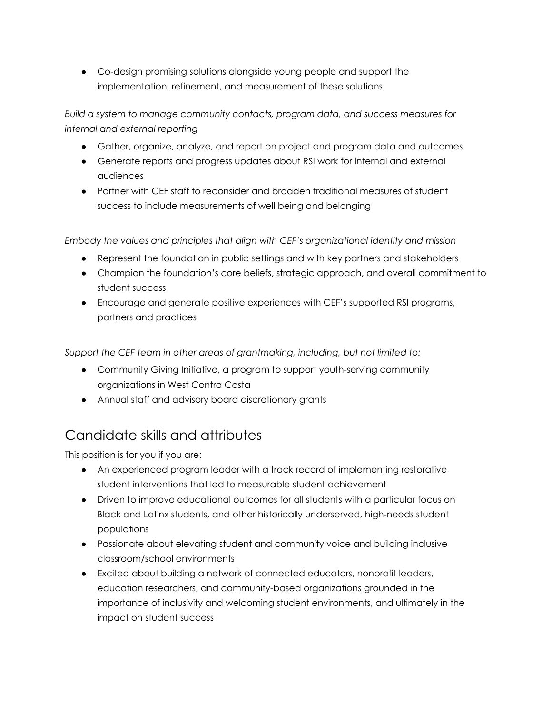● Co-design promising solutions alongside young people and support the implementation, refinement, and measurement of these solutions

*Build a system to manage community contacts, program data, and success measures for internal and external reporting*

- Gather, organize, analyze, and report on project and program data and outcomes
- Generate reports and progress updates about RSI work for internal and external audiences
- Partner with CEF staff to reconsider and broaden traditional measures of student success to include measurements of well being and belonging

*Embody the values and principles that align with CEF's organizational identity and mission*

- Represent the foundation in public settings and with key partners and stakeholders
- Champion the foundation's core beliefs, strategic approach, and overall commitment to student success
- Encourage and generate positive experiences with CEF's supported RSI programs, partners and practices

*Support the CEF team in other areas of grantmaking, including, but not limited to:*

- Community Giving Initiative, a program to support youth-serving community organizations in West Contra Costa
- Annual staff and advisory board discretionary grants

## Candidate skills and attributes

This position is for you if you are:

- An experienced program leader with a track record of implementing restorative student interventions that led to measurable student achievement
- Driven to improve educational outcomes for all students with a particular focus on Black and Latinx students, and other historically underserved, high-needs student populations
- Passionate about elevating student and community voice and building inclusive classroom/school environments
- Excited about building a network of connected educators, nonprofit leaders, education researchers, and community-based organizations grounded in the importance of inclusivity and welcoming student environments, and ultimately in the impact on student success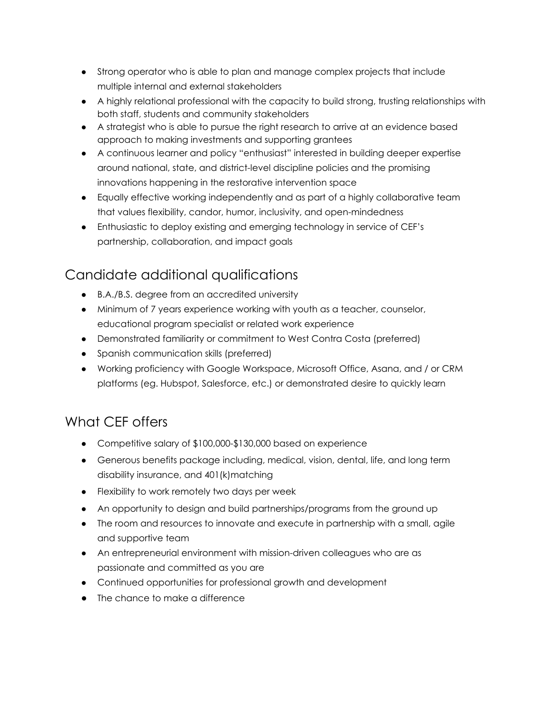- Strong operator who is able to plan and manage complex projects that include multiple internal and external stakeholders
- A highly relational professional with the capacity to build strong, trusting relationships with both staff, students and community stakeholders
- A strategist who is able to pursue the right research to arrive at an evidence based approach to making investments and supporting grantees
- A continuous learner and policy "enthusiast" interested in building deeper expertise around national, state, and district-level discipline policies and the promising innovations happening in the restorative intervention space
- Equally effective working independently and as part of a highly collaborative team that values flexibility, candor, humor, inclusivity, and open-mindedness
- Enthusiastic to deploy existing and emerging technology in service of CEF's partnership, collaboration, and impact goals

## Candidate additional qualifications

- B.A./B.S. degree from an accredited university
- Minimum of 7 years experience working with youth as a teacher, counselor, educational program specialist or related work experience
- Demonstrated familiarity or commitment to West Contra Costa (preferred)
- Spanish communication skills (preferred)
- Working proficiency with Google Workspace, Microsoft Office, Asana, and / or CRM platforms (eg. Hubspot, Salesforce, etc.) or demonstrated desire to quickly learn

## What CEF offers

- Competitive salary of \$100,000-\$130,000 based on experience
- Generous benefits package including, medical, vision, dental, life, and long term disability insurance, and 401(k)matching
- Flexibility to work remotely two days per week
- An opportunity to design and build partnerships/programs from the ground up
- The room and resources to innovate and execute in partnership with a small, agile and supportive team
- An entrepreneurial environment with mission-driven colleagues who are as passionate and committed as you are
- Continued opportunities for professional growth and development
- The chance to make a difference